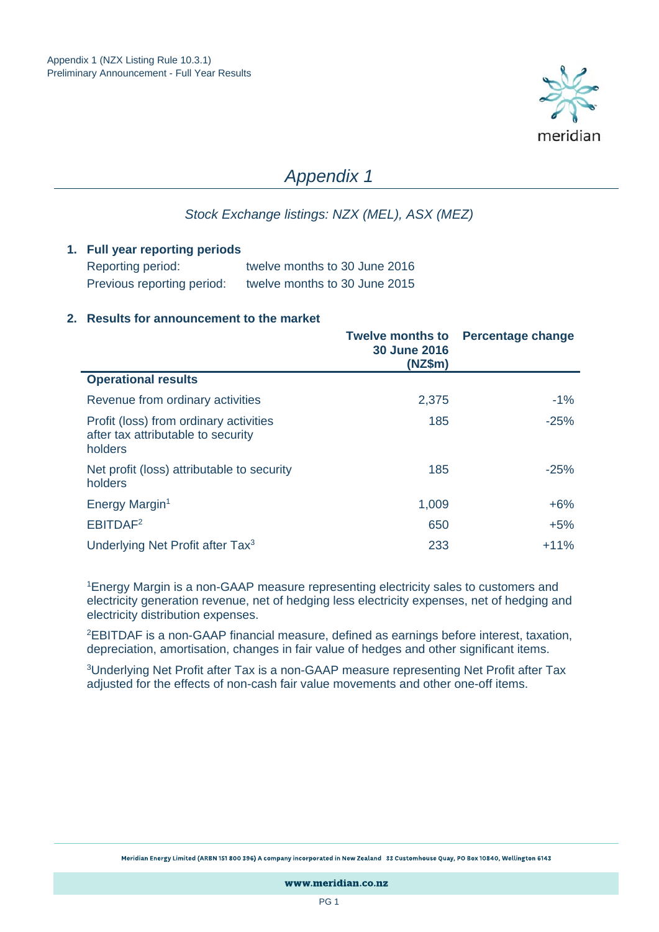

# *Appendix 1*

## *Stock Exchange listings: NZX (MEL), ASX (MEZ)*

#### **1. Full year reporting periods**

| Reporting period:          | twelve months to 30 June 2016 |
|----------------------------|-------------------------------|
| Previous reporting period: | twelve months to 30 June 2015 |

#### **2. Results for announcement to the market**

|                                                                                         | <b>Twelve months to</b><br><b>30 June 2016</b><br>(NZ\$m) | <b>Percentage change</b> |
|-----------------------------------------------------------------------------------------|-----------------------------------------------------------|--------------------------|
| <b>Operational results</b>                                                              |                                                           |                          |
| Revenue from ordinary activities                                                        | 2,375                                                     | $-1%$                    |
| Profit (loss) from ordinary activities<br>after tax attributable to security<br>holders | 185                                                       | $-25%$                   |
| Net profit (loss) attributable to security<br>holders                                   | 185                                                       | $-25%$                   |
| Energy Margin <sup>1</sup>                                                              | 1,009                                                     | $+6%$                    |
| EBITDAF <sup>2</sup>                                                                    | 650                                                       | $+5%$                    |
| Underlying Net Profit after Tax <sup>3</sup>                                            | 233                                                       | $+11%$                   |

1Energy Margin is a non-GAAP measure representing electricity sales to customers and electricity generation revenue, net of hedging less electricity expenses, net of hedging and electricity distribution expenses.

2EBITDAF is a non-GAAP financial measure, defined as earnings before interest, taxation, depreciation, amortisation, changes in fair value of hedges and other significant items.

3Underlying Net Profit after Tax is a non-GAAP measure representing Net Profit after Tax adjusted for the effects of non-cash fair value movements and other one-off items.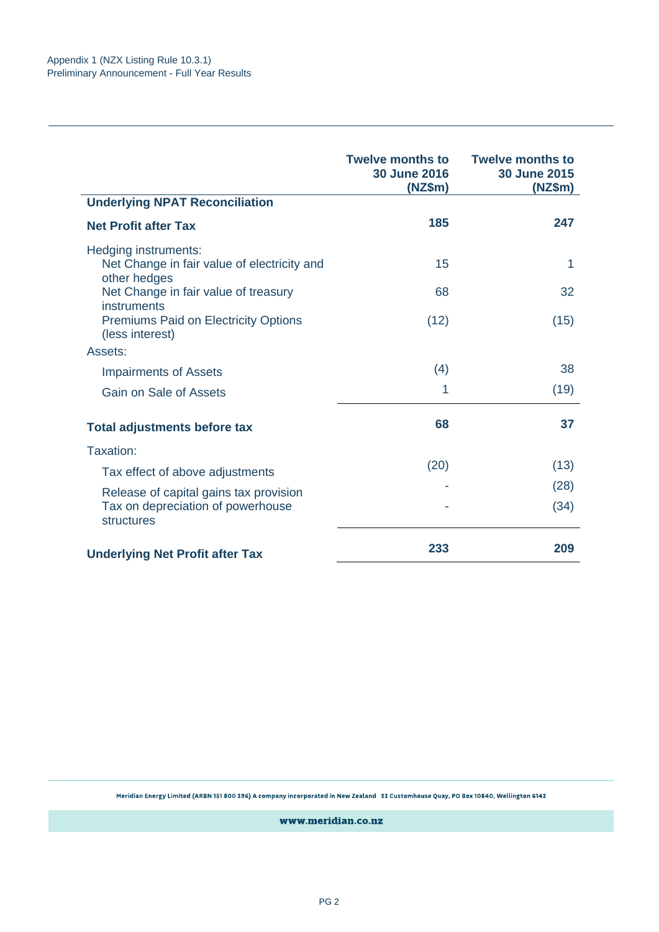|                                                                | <b>Twelve months to</b><br><b>30 June 2016</b><br>(NZ\$m) | <b>Twelve months to</b><br><b>30 June 2015</b><br>(NZ\$m) |
|----------------------------------------------------------------|-----------------------------------------------------------|-----------------------------------------------------------|
| <b>Underlying NPAT Reconciliation</b>                          |                                                           |                                                           |
| <b>Net Profit after Tax</b>                                    | 185                                                       | 247                                                       |
| Hedging instruments:                                           |                                                           |                                                           |
| Net Change in fair value of electricity and<br>other hedges    | 15                                                        | 1                                                         |
| Net Change in fair value of treasury<br>instruments            | 68                                                        | 32                                                        |
| <b>Premiums Paid on Electricity Options</b><br>(less interest) | (12)                                                      | (15)                                                      |
| Assets:                                                        |                                                           |                                                           |
| <b>Impairments of Assets</b>                                   | (4)                                                       | 38                                                        |
| Gain on Sale of Assets                                         | 1                                                         | (19)                                                      |
| <b>Total adjustments before tax</b>                            | 68                                                        | 37                                                        |
| Taxation:                                                      |                                                           |                                                           |
| Tax effect of above adjustments                                | (20)                                                      | (13)                                                      |
| Release of capital gains tax provision                         |                                                           | (28)                                                      |
| Tax on depreciation of powerhouse<br>structures                |                                                           | (34)                                                      |
| <b>Underlying Net Profit after Tax</b>                         | 233                                                       | 209                                                       |

Meridian Energy Limited (ARBN 151 800 396) A company incorporated in New Zealand 33 Customhouse Quay, PO Box 10840, Wellington 6143

www.meridian.co.nz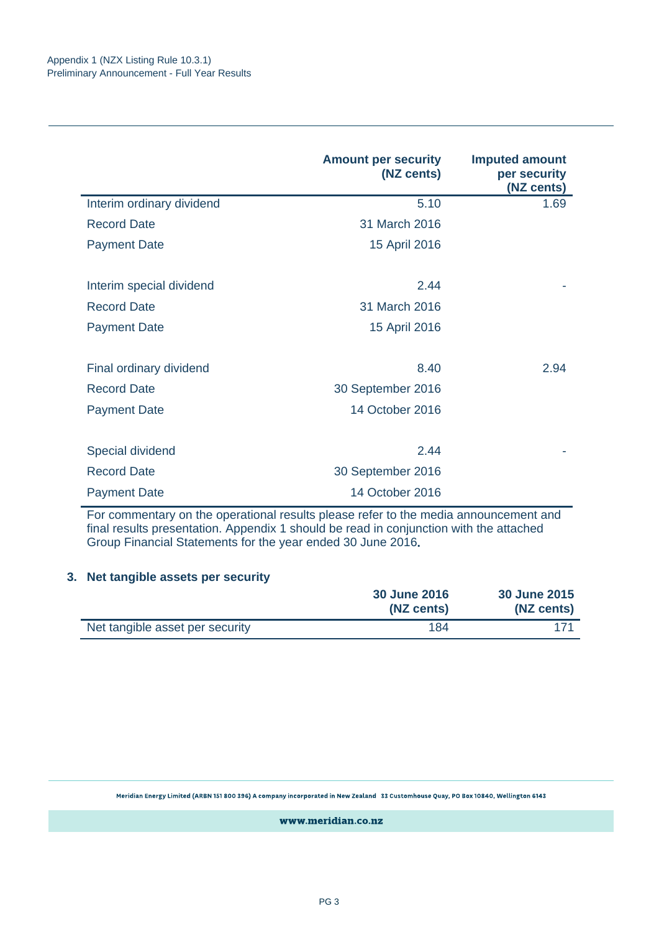|                           | <b>Amount per security</b><br>(NZ cents) | <b>Imputed amount</b><br>per security<br>(NZ cents) |
|---------------------------|------------------------------------------|-----------------------------------------------------|
| Interim ordinary dividend | 5.10                                     | 1.69                                                |
| <b>Record Date</b>        | 31 March 2016                            |                                                     |
| <b>Payment Date</b>       | 15 April 2016                            |                                                     |
| Interim special dividend  | 2.44                                     |                                                     |
| <b>Record Date</b>        | 31 March 2016                            |                                                     |
| <b>Payment Date</b>       | 15 April 2016                            |                                                     |
| Final ordinary dividend   | 8.40                                     | 2.94                                                |
| <b>Record Date</b>        | 30 September 2016                        |                                                     |
| <b>Payment Date</b>       | 14 October 2016                          |                                                     |
| Special dividend          | 2.44                                     |                                                     |
| <b>Record Date</b>        | 30 September 2016                        |                                                     |
| <b>Payment Date</b>       | 14 October 2016                          |                                                     |

For commentary on the operational results please refer to the media announcement and final results presentation. Appendix 1 should be read in conjunction with the attached Group Financial Statements for the year ended 30 June 2016**.** 

### **3. Net tangible assets per security**

|                                 | <b>30 June 2016</b><br>(NZ cents) | 30 June 2015<br>(NZ cents) |
|---------------------------------|-----------------------------------|----------------------------|
| Net tangible asset per security | 184                               |                            |

Meridian Energy Limited (ARBN 151 800 396) A company incorporated in New Zealand 33 Customhouse Quay, PO Box 10840, Wellington 6143

www.meridian.co.nz